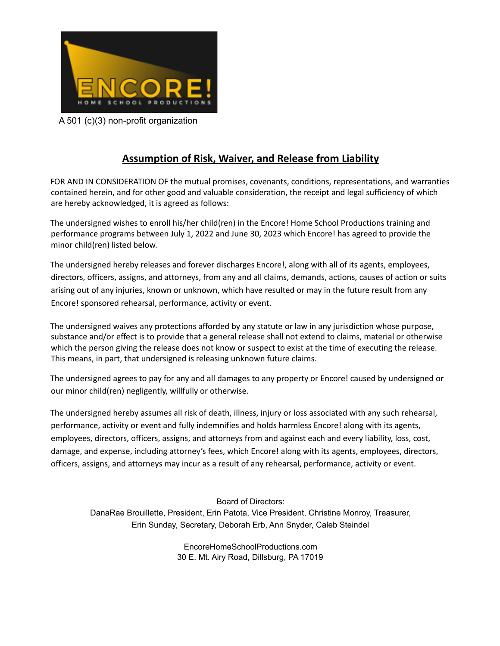

A 501 (c)(3) non-profit organization

## **Assumption of Risk, Waiver, and Release from Liability**

FOR AND IN CONSIDERATION OF the mutual promises, covenants, conditions, representations, and warranties contained herein, and for other good and valuable consideration, the receipt and legal sufficiency of which are hereby acknowledged, it is agreed as follows:

The undersigned wishes to enroll his/her child(ren) in the Encore! Home School Productions training and performance programs between July 1, 2022 and June 30, 2023 which Encore! has agreed to provide the minor child(ren) listed below.

The undersigned hereby releases and forever discharges Encore!, along with all of its agents, employees, directors, officers, assigns, and attorneys, from any and all claims, demands, actions, causes of action or suits arising out of any injuries, known or unknown, which have resulted or may in the future result from any Encore! sponsored rehearsal, performance, activity or event.

The undersigned waives any protections afforded by any statute or law in any jurisdiction whose purpose, substance and/or effect is to provide that a general release shall not extend to claims, material or otherwise which the person giving the release does not know or suspect to exist at the time of executing the release. This means, in part, that undersigned is releasing unknown future claims.

The undersigned agrees to pay for any and all damages to any property or Encore! caused by undersigned or our minor child(ren) negligently, willfully or otherwise.

The undersigned hereby assumes all risk of death, illness, injury or loss associated with any such rehearsal, performance, activity or event and fully indemnifies and holds harmless Encore! along with its agents, employees, directors, officers, assigns, and attorneys from and against each and every liability, loss, cost, damage, and expense, including attorney's fees, which Encore! along with its agents, employees, directors, officers, assigns, and attorneys may incur as a result of any rehearsal, performance, activity or event.

> Board of Directors: DanaRae Brouillette, President, Erin Patota, Vice President, Christine Monroy, Treasurer, Erin Sunday, Secretary, Deborah Erb, Ann Snyder, Caleb Steindel

> > EncoreHomeSchoolProductions.com 30 E. Mt. Airy Road, Dillsburg, PA 17019